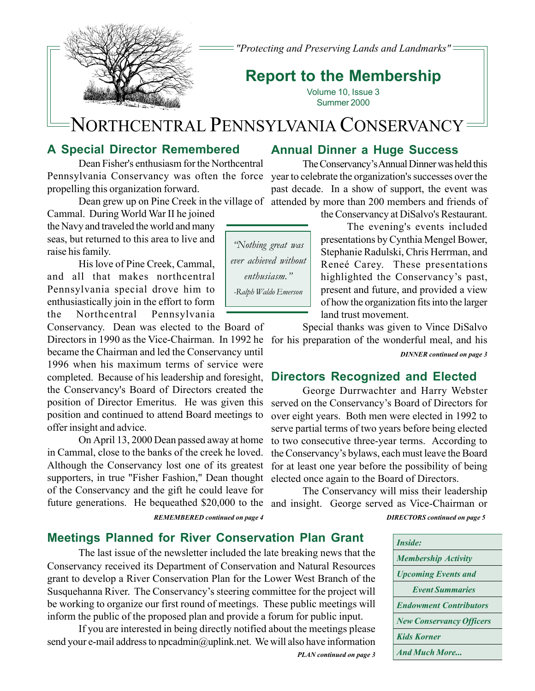*"Protecting and Preserving Lands and Landmarks"*

# **Report to the Membership**

Volume 10, Issue 3 Summer 2000

# NORTHCENTRAL PENNSYLVANIA CONSERVANCY

# **A Special Director Remembered**

Dean Fisher's enthusiasm for the Northcentral Pennsylvania Conservancy was often the force year to celebrate the organization's successes over the propelling this organization forward.

Cammal. During World War II he joined the Navy and traveled the world and many seas, but returned to this area to live and raise his family.

His love of Pine Creek, Cammal, and all that makes northcentral Pennsylvania special drove him to enthusiastically join in the effort to form the Northcentral Pennsylvania

Conservancy. Dean was elected to the Board of Directors in 1990 as the Vice-Chairman. In 1992 he became the Chairman and led the Conservancy until 1996 when his maximum terms of service were completed. Because of his leadership and foresight, the Conservancy's Board of Directors created the position of Director Emeritus. He was given this position and continued to attend Board meetings to offer insight and advice.

On April 13, 2000 Dean passed away at home in Cammal, close to the banks of the creek he loved. Although the Conservancy lost one of its greatest supporters, in true "Fisher Fashion," Dean thought of the Conservancy and the gift he could leave for future generations. He bequeathed \$20,000 to the and insight. George served as Vice-Chairman or

*REMEMBERED continued on page 4 DIRECTORS continued on page 5*

# **Annual Dinner a Huge Success**

Dean grew up on Pine Creek in the village of attended by more than 200 members and friends of The Conservancy's Annual Dinner was held this past decade. In a show of support, the event was

the Conservancy at DiSalvo's Restaurant.

 The evening's events included presentations by Cynthia Mengel Bower, Stephanie Radulski, Chris Herrman, and Reneé Carey. These presentations highlighted the Conservancy's past, present and future, and provided a view of how the organization fits into the larger land trust movement.

Special thanks was given to Vince DiSalvo for his preparation of the wonderful meal, and his

*DINNER continued on page 3*

## **Directors Recognized and Elected**

George Durrwachter and Harry Webster served on the Conservancy's Board of Directors for over eight years. Both men were elected in 1992 to serve partial terms of two years before being elected to two consecutive three-year terms. According to the Conservancy's bylaws, each must leave the Board for at least one year before the possibility of being elected once again to the Board of Directors.

The Conservancy will miss their leadership

# **Meetings Planned for River Conservation Plan Grant**

The last issue of the newsletter included the late breaking news that the Conservancy received its Department of Conservation and Natural Resources grant to develop a River Conservation Plan for the Lower West Branch of the Susquehanna River. The Conservancy's steering committee for the project will be working to organize our first round of meetings. These public meetings will inform the public of the proposed plan and provide a forum for public input.

If you are interested in being directly notified about the meetings please send your e-mail address to npcadmin@uplink.net. We will also have information



*Inside: Membership Activity Upcoming Events and Event Summaries Endowment Contributors New Conservancy Officers Kids Korner And Much More...*

*PLAN continued on page 3*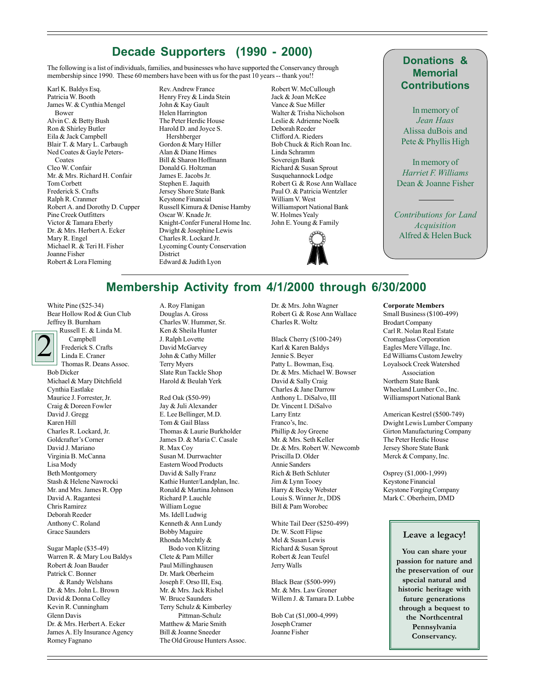# **Decade Supporters (1990 - 2000)**

The following is a list of individuals, families, and businesses who have supported the Conservancy through membership since 1990. These 60 members have been with us for the past 10 years -- thank you!!

Karl K. Baldys Esq. Patricia W. Booth James W. & Cynthia Mengel Bower Alvin C. & Betty Bush Ron & Shirley Butler Eila & Jack Campbell Blair T. & Mary L. Carbaugh Ned Coates & Gayle Peters- Coates Cleo W. Confair Mr. & Mrs. Richard H. Confair Tom Corbett Frederick S. Crafts Ralph R. Cranmer Robert A. and Dorothy D. Cupper Pine Creek Outfitters Victor & Tamara Eberly Dr. & Mrs. Herbert A. Ecker Mary R. Engel Michael R. & Teri H. Fisher Joanne Fisher Robert & Lora Fleming

Rev. Andrew France Henry Frey & Linda Stein John & Kay Gault Helen Harrington The Peter Herdic House Harold D. and Joyce S. Hershberger Gordon & Mary Hiller Alan & Diane Himes Bill & Sharon Hoffmann Donald G. Holtzman James E. Jacobs Jr. Stephen E. Jaquith Jersey Shore State Bank Keystone Financial Russell Kimura & Denise Hamby Oscar W. Knade Jr. Knight-Confer Funeral Home Inc. Dwight & Josephine Lewis Charles R. Lockard Jr. Lycoming County Conservation **District** Edward & Judith Lyon

Robert W. McCullough Jack & Joan McKee Vance & Sue Miller Walter & Trisha Nicholson Leslie & Adrienne Noelk Deborah Reeder Clifford A. Rieders Bob Chuck & Rich Roan Inc. Linda Schramm Sovereign Bank Richard & Susan Sprout Susquehannock Lodge Robert G. & Rose Ann Wallace Paul O. & Patricia Wentzler William V. West Williamsport National Bank W. Holmes Yealy John E. Young & Family



### **Donations & Memorial Contributions**

In memory of *Jean Haas* Alissa duBois and Pete & Phyllis High

In memory of *Harriet F. Williams* Dean & Joanne Fisher

*Contributions for Land Acquisition* Alfred & Helen Buck

# **Membership Activity from 4/1/2000 through 6/30/2000**

White Pine (\$25-34) Bear Hollow Rod & Gun Club Jeffrey B. Burnham

2 Russell E. & Linda M. Campbell Frederick S. Crafts Linda E. Craner Thomas R. Deans Assoc. Bob Dicker Michael & Mary Ditchfield Cynthia Eastlake Maurice J. Forrester, Jr. Craig & Doreen Fowler David J. Gregg Karen Hill Charles R. Lockard, Jr. Goldcrafter's Corner David J. Mariano Virginia B. McCanna Lisa Mody Beth Montgomery Stash & Helene Nawrocki Mr. and Mrs. James R. Opp David A. Ragantesi Chris Ramirez Deborah Reeder Anthony C. Roland Grace Saunders

Sugar Maple (\$35-49) Warren R. & Mary Lou Baldys Robert & Joan Bauder Patrick C. Bonner & Randy Welshans Dr. & Mrs. John L. Brown David & Donna Colley Kevin R. Cunningham Glenn Davis Dr. & Mrs. Herbert A. Ecker James A. Ely Insurance Agency Romey Fagnano

A. Roy Flanigan Douglas A. Gross Charles W. Hummer, Sr. Ken & Sheila Hunter J. Ralph Lovette David McGarvey John & Cathy Miller Terry Myers Slate Run Tackle Shop Harold & Beulah Yerk

Red Oak (\$50-99) Jay & Juli Alexander E. Lee Bellinger, M.D. Tom & Gail Blass Thomas & Laurie Burkholder James D. & Maria C. Casale R. Max Coy Susan M. Durrwachter Eastern Wood Products David & Sally Franz Kathie Hunter/Landplan, Inc. Ronald & Martina Johnson Richard P. Lauchle William Logue Ms. Idell Ludwig Kenneth & Ann Lundy Bobby Maguire Rhonda Mechtly & Bodo von Klitzing Clete & Pam Miller Paul Millinghausen Dr. Mark Oberheim Joseph F. Orso III, Esq. Mr. & Mrs. Jack Rishel W. Bruce Saunders Terry Schulz & Kimberley Pittman-Schulz

Matthew & Marie Smith Bill & Joanne Sneeder The Old Grouse Hunters Assoc. Dr. & Mrs. John Wagner Robert G. & Rose Ann Wallace Charles R. Woltz

Black Cherry (\$100-249) Karl & Karen Baldys Jennie S. Beyer Patty L. Bowman, Esq. Dr. & Mrs. Michael W. Bowser David & Sally Craig Charles & Jane Darrow Anthony L. DiSalvo, III Dr. Vincent I. DiSalvo Larry Entz Franco's, Inc. Phillip & Joy Greene Mr. & Mrs. Seth Keller Dr. & Mrs. Robert W. Newcomb Priscilla D. Older Annie Sanders Rich & Beth Schluter Jim & Lynn Tooey Harry & Becky Webster Louis S. Winner Jr., DDS Bill & Pam Worobec

White Tail Deer (\$250-499) Dr. W. Scott Flipse Mel & Susan Lewis Richard & Susan Sprout Robert & Jean Teufel Jerry Walls

Black Bear (\$500-999) Mr. & Mrs. Law Groner Willem J. & Tamara D. Lubbe

Bob Cat (\$1,000-4,999) Joseph Cramer Joanne Fisher

#### **Corporate Members**

Small Business (\$100-499) Brodart Company Carl R. Nolan Real Estate Cromaglass Corporation Eagles Mere Village, Inc. Ed Williams Custom Jewelry Loyalsock Creek Watershed Association Northern State Bank Wheeland Lumber Co., Inc. Williamsport National Bank

American Kestrel (\$500-749) Dwight Lewis Lumber Company Girton Manufacturing Company The Peter Herdic House Jersey Shore State Bank Merck & Company, Inc.

Osprey (\$1,000-1,999) Keystone Financial Keystone Forging Company Mark C. Oberheim, DMD

#### **Leave a legacy!**

**You can share your passion for nature and the preservation of our special natural and historic heritage with future generations through a bequest to the Northcentral Pennsylvania Conservancy.**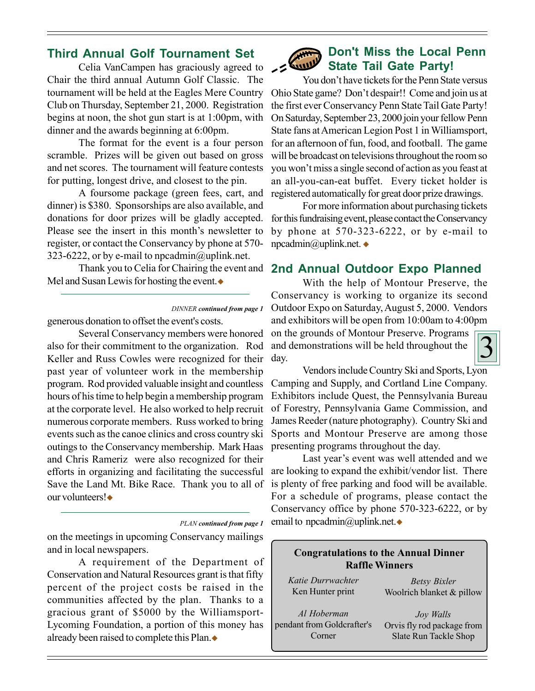# **Third Annual Golf Tournament Set**

Celia VanCampen has graciously agreed to Chair the third annual Autumn Golf Classic. The tournament will be held at the Eagles Mere Country Club on Thursday, September 21, 2000. Registration begins at noon, the shot gun start is at 1:00pm, with dinner and the awards beginning at 6:00pm.

The format for the event is a four person scramble. Prizes will be given out based on gross and net scores. The tournament will feature contests for putting, longest drive, and closest to the pin.

A foursome package (green fees, cart, and dinner) is \$380. Sponsorships are also available, and donations for door prizes will be gladly accepted. Please see the insert in this month's newsletter to register, or contact the Conservancy by phone at 570- 323-6222, or by e-mail to npcadmin@uplink.net.

Mel and Susan Lewis for hosting the event.

*DINNER continued from page 1*

generous donation to offset the event's costs.

Several Conservancy members were honored also for their commitment to the organization. Rod Keller and Russ Cowles were recognized for their past year of volunteer work in the membership program. Rod provided valuable insight and countless hours of his time to help begin a membership program at the corporate level. He also worked to help recruit numerous corporate members. Russ worked to bring events such as the canoe clinics and cross country ski outings to the Conservancy membership. Mark Haas and Chris Rameriz were also recognized for their efforts in organizing and facilitating the successful Save the Land Mt. Bike Race. Thank you to all of our volunteers!

on the meetings in upcoming Conservancy mailings and in local newspapers.

A requirement of the Department of Conservation and Natural Resources grant is that fifty percent of the project costs be raised in the communities affected by the plan. Thanks to a gracious grant of \$5000 by the Williamsport-Lycoming Foundation, a portion of this money has already been raised to complete this Plan.

#### **Don't Miss the Local Penn SAAN State Tail Gate Party!**

You don't have tickets for the Penn State versus Ohio State game? Don't despair!! Come and join us at the first ever Conservancy Penn State Tail Gate Party! On Saturday, September 23, 2000 join your fellow Penn State fans at American Legion Post 1 in Williamsport, for an afternoon of fun, food, and football. The game will be broadcast on televisions throughout the room so you won't miss a single second of action as you feast at an all-you-can-eat buffet. Every ticket holder is registered automatically for great door prize drawings.

For more information about purchasing tickets for this fundraising event, please contact the Conservancy by phone at 570-323-6222, or by e-mail to  $n$ pcadmin@uplink.net.

## Thank you to Celia for Chairing the event and **2nd Annual Outdoor Expo Planned**

With the help of Montour Preserve, the Conservancy is working to organize its second Outdoor Expo on Saturday, August 5, 2000. Vendors and exhibitors will be open from 10:00am to 4:00pm

on the grounds of Montour Preserve. Programs and demonstrations will be held throughout the day.



Vendors include Country Ski and Sports, Lyon Camping and Supply, and Cortland Line Company. Exhibitors include Quest, the Pennsylvania Bureau of Forestry, Pennsylvania Game Commission, and James Reeder (nature photography). Country Ski and Sports and Montour Preserve are among those presenting programs throughout the day.

Last year's event was well attended and we are looking to expand the exhibit/vendor list. There is plenty of free parking and food will be available. For a schedule of programs, please contact the Conservancy office by phone 570-323-6222, or by *PLAN continued from page 1* email to npcadmin@uplink.net.

### **Congratulations to the Annual Dinner Raffle Winners**

*Katie Durrwachter* Ken Hunter print

*Betsy Bixler* Woolrich blanket & pillow

*Al Hoberman* pendant from Goldcrafter's Corner

*Joy Walls* Orvis fly rod package from Slate Run Tackle Shop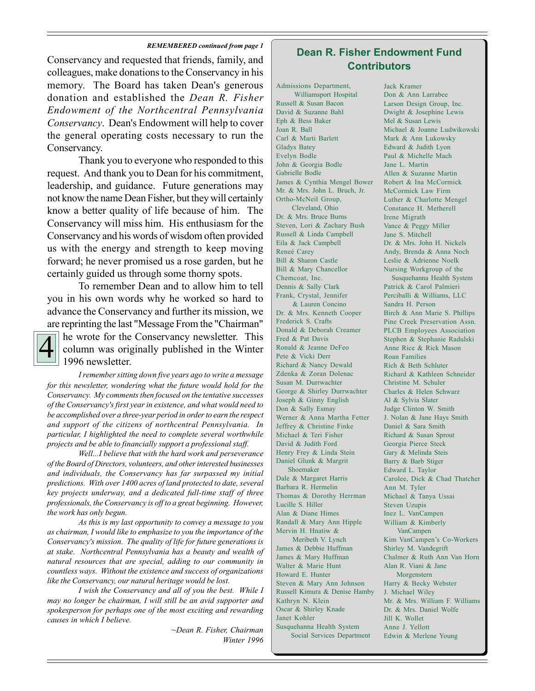#### *REMEMBERED continued from page 1*

Conservancy and requested that friends, family, and colleagues, make donations to the Conservancy in his memory. The Board has taken Dean's generous donation and established the *Dean R. Fisher Endowment of the Northcentral Pennsylvania Conservancy*. Dean's Endowment will help to cover the general operating costs necessary to run the Conservancy.

Thank you to everyone who responded to this request. And thank you to Dean for his commitment, leadership, and guidance. Future generations may not know the name Dean Fisher, but they will certainly know a better quality of life because of him. The Conservancy will miss him. His enthusiasm for the Conservancy and his words of wisdom often provided us with the energy and strength to keep moving forward; he never promised us a rose garden, but he certainly guided us through some thorny spots.

To remember Dean and to allow him to tell you in his own words why he worked so hard to advance the Conservancy and further its mission, we are reprinting the last "Message From the "Chairman"



he wrote for the Conservancy newsletter. This column was originally published in the Winter 1996 newsletter.

*I remember sitting down five years ago to write a message for this newsletter, wondering what the future would hold for the Conservancy. My comments then focused on the tentative successes of the Conservancy's first year in existence, and what would need to be accomplished over a three-year period in order to earn the respect and support of the citizens of northcentral Pennsylvania. In particular, I highlighted the need to complete several worthwhile projects and be able to financially support a professional staff.*

*Well...I believe that with the hard work and perseverance of the Board of Directors, volunteers, and other interested businesses and individuals, the Conservancy has far surpassed my initial predictions. With over 1400 acres of land protected to date, several key projects underway, and a dedicated full-time staff of three professionals, the Conservancy is off to a great beginning. However, the work has only begun.*

*As this is my last opportunity to convey a message to you as chairman, I would like to emphasize to you the importance of the Conservancy's mission. The quality of life for future generations is at stake. Northcentral Pennsylvania has a beauty and wealth of natural resources that are special, adding to our community in countless ways. Without the existence and success of organizations like the Conservancy, our natural heritage would be lost.*

*I wish the Conservancy and all of you the best. While I may no longer be chairman, I will still be an avid supporter and spokesperson for perhaps one of the most exciting and rewarding causes in which I believe.*

> *~Dean R. Fisher, Chairman Winter 1996*

# **Dean R. Fisher Endowment Fund Contributors**

Admissions Department, Williamsport Hospital Russell & Susan Bacon David & Suzanne Bahl Eph & Bess Baker Joan R. Ball Carl & Marti Barlett Gladys Batey Evelyn Bodle John & Georgia Bodle Gabrielle Bodle James & Cynthia Mengel Bower Mr. & Mrs. John L. Bruch, Jr. Ortho-McNeil Group, Cleveland, Ohio Dr. & Mrs. Bruce Burns Steven, Lori & Zachary Bush Russell & Linda Campbell Eila & Jack Campbell Reneé Carey Bill & Sharon Castle Bill & Mary Chancellor Chemcoat, Inc. Dennis & Sally Clark Frank, Crystal, Jennifer & Lauren Concino Dr. & Mrs. Kenneth Cooper Frederick S. Crafts Donald & Deborah Creamer Fred & Pat Davis Ronald & Jeanne DeFeo Pete & Vicki Derr Richard & Nancy Dewald Zdenka & Zoran Dolenac Susan M. Durrwachter George & Shirley Durrwachter Joseph & Ginny English Don & Sally Esmay Werner & Anna Martha Fetter Jeffrey & Christine Finke Michael & Teri Fisher David & Judith Ford Henry Frey & Linda Stein Daniel Glunk & Margrit Shoemaker Dale & Margaret Harris Barbara R. Hermelin Thomas & Dorothy Herrman Lucille S. Hiller Alan & Diane Himes Randall & Mary Ann Hipple Mervin H. Hnatiw & Meribeth V. Lynch James & Debbie Huffman James & Mary Huffman Walter & Marie Hunt Howard E. Hunter Steven & Mary Ann Johnson Russell Kimura & Denise Hamby Kathryn N. Klein Oscar & Shirley Knade Janet Kohler Susquehanna Health System Social Services Department

Jack Kramer Don & Ann Larrabee Larson Design Group, Inc. Dwight & Josephine Lewis Mel & Susan Lewis Michael & Joanne Ludwikowski Mark & Ann Lukowsky Edward & Judith Lyon Paul & Michelle Mach Jane L. Martin Allen & Suzanne Martin Robert & Ina McCormick McCormick Law Firm Luther & Charlotte Mengel Constance H. Metherell Irene Migrath Vance & Peggy Miller Jane S. Mitchell Dr. & Mrs. John H. Nickels Andy, Brenda & Anna Noch Leslie & Adrienne Noelk Nursing Workgroup of the Susquehanna Health System Patrick & Carol Palmieri Perciballi & Williams, LLC Sandra H. Person Birch & Ann Marie S. Phillips Pine Creek Preservation Assn. PLCB Employees Association Stephen & Stephanie Radulski Anne Rice & Rick Mason Roan Families Rich & Beth Schluter Richard & Kathleen Schneider Christine M. Schuler Charles & Helen Schwarz Al & Sylvia Slater Judge Clinton W. Smith J. Nolan & Jane Hays Smith Daniel & Sara Smith Richard & Susan Sprout Georgia Pierce Steck Gary & Melinda Steis Barry & Barb Stiger Edward L. Taylor Carolee, Dick & Chad Thatcher Ann M. Tyler Michael & Tanya Ussai Steven Uzupis Inez L. VanCampen William & Kimberly VanCampen Kim VanCampen's Co-Workers Shirley M. Vandegrift Chalmer & Ruth Ann Van Horn Alan R. Viani & Jane Morgenstern Harry & Becky Webster J. Michael Wiley Mr. & Mrs. William F. Williams Dr. & Mrs. Daniel Wolfe Jill K. Wollet Anne J. Yellott Edwin & Merlene Young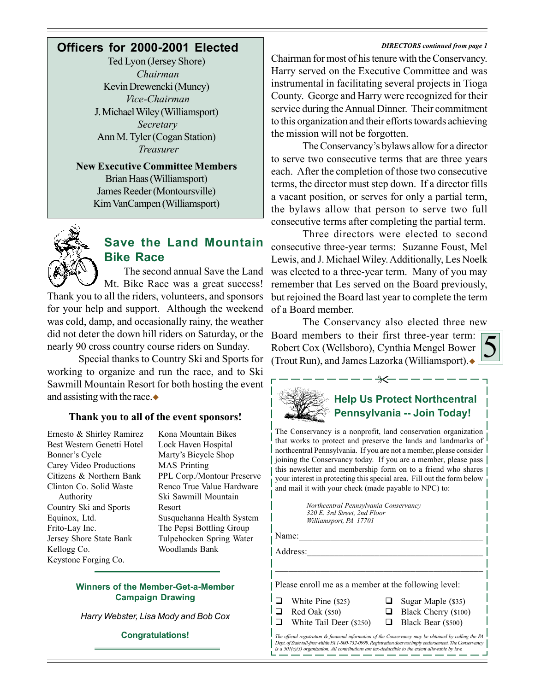# **Officers for 2000-2001 Elected**

Ted Lyon (Jersey Shore)  *Chairman* Kevin Drewencki (Muncy) *Vice-Chairman* J. Michael Wiley (Williamsport)  *Secretary* Ann M. Tyler (Cogan Station) *Treasurer*

**New Executive Committee Members** Brian Haas (Williamsport) James Reeder (Montoursville) Kim VanCampen (Williamsport)



# **Save the Land Mountain Bike Race**

 The second annual Save the Land Mt. Bike Race was a great success!

Thank you to all the riders, volunteers, and sponsors for your help and support. Although the weekend was cold, damp, and occasionally rainy, the weather did not deter the down hill riders on Saturday, or the nearly 90 cross country course riders on Sunday.

Special thanks to Country Ski and Sports for working to organize and run the race, and to Ski Sawmill Mountain Resort for both hosting the event and assisting with the race. $\bullet$ 

#### **Thank you to all of the event sponsors!**

Ernesto & Shirley Ramirez Best Western Genetti Hotel Bonner's Cycle Carey Video Productions Citizens & Northern Bank Clinton Co. Solid Waste Authority Country Ski and Sports Equinox, Ltd. Frito-Lay Inc. Jersey Shore State Bank Kellogg Co. Keystone Forging Co.

Kona Mountain Bikes Lock Haven Hospital Marty's Bicycle Shop MAS Printing PPL Corp./Montour Preserve Renco True Value Hardware Ski Sawmill Mountain Resort Susquehanna Health System The Pepsi Bottling Group Tulpehocken Spring Water Woodlands Bank

#### **Winners of the Member-Get-a-Member Campaign Drawing**

*Harry Webster, Lisa Mody and Bob Cox*

#### **Congratulations!**

#### *DIRECTORS continued from page 1*

Chairman for most of his tenure with the Conservancy. Harry served on the Executive Committee and was instrumental in facilitating several projects in Tioga County. George and Harry were recognized for their service during the Annual Dinner. Their commitment to this organization and their efforts towards achieving the mission will not be forgotten.

The Conservancy's bylaws allow for a director to serve two consecutive terms that are three years each. After the completion of those two consecutive terms, the director must step down. If a director fills a vacant position, or serves for only a partial term, the bylaws allow that person to serve two full consecutive terms after completing the partial term.

Three directors were elected to second consecutive three-year terms: Suzanne Foust, Mel Lewis, and J. Michael Wiley. Additionally, Les Noelk was elected to a three-year term. Many of you may remember that Les served on the Board previously, but rejoined the Board last year to complete the term of a Board member.

The Conservancy also elected three new Board members to their first three-year term: Robert Cox (Wellsboro), Cynthia Mengel Bower (Trout Run), and James Lazorka (Williamsport).  $\bullet$ 



# **Help Us Protect Northcentral Pennsylvania -- Join Today!**

 $-x$  -  $-$ 

The Conservancy is a nonprofit, land conservation organization that works to protect and preserve the lands and landmarks of northcentral Pennsylvania. If you are not a member, please consider joining the Conservancy today. If you are a member, please pass this newsletter and membership form on to a friend who shares your interest in protecting this special area. Fill out the form below and mail it with your check (made payable to NPC) to:

> *Northcentral Pennsylvania Conservancy 320 E. 3rd Street, 2nd Floor Williamsport, PA 17701*

Name:

Address:

Please enroll me as a member at the following level:

- $\Box$  White Pine (\$25)  $\Box$  Sugar Maple (\$35)
- $\Box$  Red Oak (\$50)  $\Box$  Black Cherry (\$100)
- 
- $\Box$  White Tail Deer (\$250)  $\Box$  Black Bear (\$500)

*The official registration & financial information of the Conservancy may be obtained by calling the PA Dept. of State toll-free within PA 1-800-732-0999. Registration does not imply endorsement. The Conservancy is a 501(c)(3) organization. All contributions are tax-deductible to the extent allowable by law.* 

\_\_\_\_\_\_\_\_\_\_\_\_\_\_\_\_\_\_\_\_\_\_\_\_\_\_\_\_\_\_\_\_\_\_\_\_\_\_\_\_\_\_\_\_\_\_